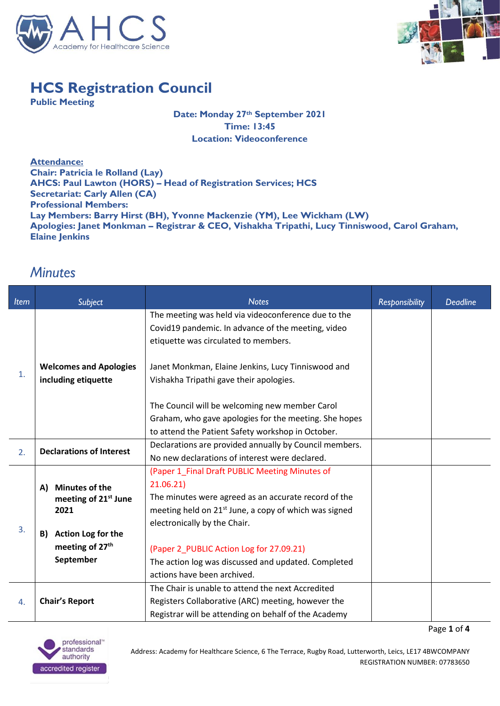



## **HCS Registration Council**

**Public Meeting**

**Date: Monday 27th September 2021 Time: 13:45 Location: Videoconference** 

**Attendance: Chair: Patricia le Rolland (Lay) AHCS: Paul Lawton (HORS) – Head of Registration Services; HCS Secretariat: Carly Allen (CA) Professional Members: Lay Members: Barry Hirst (BH), Yvonne Mackenzie (YM), Lee Wickham (LW) Apologies: Janet Monkman – Registrar & CEO, Vishakha Tripathi, Lucy Tinniswood, Carol Graham, Elaine Jenkins**

## *Minutes*

| <b>Item</b> | Subject                          | <b>Notes</b>                                                      | <b>Responsibility</b> | <b>Deadline</b> |
|-------------|----------------------------------|-------------------------------------------------------------------|-----------------------|-----------------|
|             |                                  | The meeting was held via videoconference due to the               |                       |                 |
|             |                                  | Covid19 pandemic. In advance of the meeting, video                |                       |                 |
|             |                                  | etiquette was circulated to members.                              |                       |                 |
|             |                                  |                                                                   |                       |                 |
| 1.          | <b>Welcomes and Apologies</b>    | Janet Monkman, Elaine Jenkins, Lucy Tinniswood and                |                       |                 |
|             | including etiquette              | Vishakha Tripathi gave their apologies.                           |                       |                 |
|             |                                  |                                                                   |                       |                 |
|             |                                  | The Council will be welcoming new member Carol                    |                       |                 |
|             |                                  | Graham, who gave apologies for the meeting. She hopes             |                       |                 |
|             |                                  | to attend the Patient Safety workshop in October.                 |                       |                 |
| 2.          | <b>Declarations of Interest</b>  | Declarations are provided annually by Council members.            |                       |                 |
|             |                                  | No new declarations of interest were declared.                    |                       |                 |
|             |                                  | (Paper 1_Final Draft PUBLIC Meeting Minutes of                    |                       |                 |
|             | <b>Minutes of the</b><br>A)      | 21.06.21)                                                         |                       |                 |
|             | meeting of 21 <sup>st</sup> June | The minutes were agreed as an accurate record of the              |                       |                 |
|             | 2021                             | meeting held on 21 <sup>st</sup> June, a copy of which was signed |                       |                 |
| 3.          |                                  | electronically by the Chair.                                      |                       |                 |
|             | Action Log for the<br>B)         |                                                                   |                       |                 |
|             | meeting of 27 <sup>th</sup>      | (Paper 2_PUBLIC Action Log for 27.09.21)                          |                       |                 |
|             | September                        | The action log was discussed and updated. Completed               |                       |                 |
|             |                                  | actions have been archived.                                       |                       |                 |
| 4.          |                                  | The Chair is unable to attend the next Accredited                 |                       |                 |
|             | <b>Chair's Report</b>            | Registers Collaborative (ARC) meeting, however the                |                       |                 |
|             |                                  | Registrar will be attending on behalf of the Academy              |                       |                 |

Page **1** of **4**

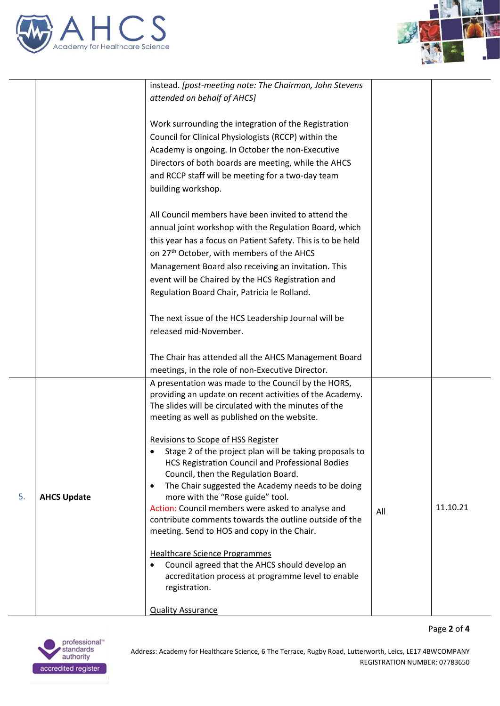



Page **2** of **4**

|    |                    | instead. [post-meeting note: The Chairman, John Stevens        |     |          |
|----|--------------------|----------------------------------------------------------------|-----|----------|
|    |                    | attended on behalf of AHCS]                                    |     |          |
|    |                    |                                                                |     |          |
|    |                    | Work surrounding the integration of the Registration           |     |          |
|    |                    | Council for Clinical Physiologists (RCCP) within the           |     |          |
|    |                    |                                                                |     |          |
|    |                    | Academy is ongoing. In October the non-Executive               |     |          |
|    |                    | Directors of both boards are meeting, while the AHCS           |     |          |
|    |                    | and RCCP staff will be meeting for a two-day team              |     |          |
|    |                    | building workshop.                                             |     |          |
|    |                    | All Council members have been invited to attend the            |     |          |
|    |                    | annual joint workshop with the Regulation Board, which         |     |          |
|    |                    | this year has a focus on Patient Safety. This is to be held    |     |          |
|    |                    | on 27 <sup>th</sup> October, with members of the AHCS          |     |          |
|    |                    | Management Board also receiving an invitation. This            |     |          |
|    |                    | event will be Chaired by the HCS Registration and              |     |          |
|    |                    | Regulation Board Chair, Patricia le Rolland.                   |     |          |
|    |                    |                                                                |     |          |
|    |                    | The next issue of the HCS Leadership Journal will be           |     |          |
|    |                    | released mid-November.                                         |     |          |
|    |                    |                                                                |     |          |
|    |                    | The Chair has attended all the AHCS Management Board           |     |          |
|    |                    | meetings, in the role of non-Executive Director.               |     |          |
|    |                    | A presentation was made to the Council by the HORS,            |     |          |
|    |                    | providing an update on recent activities of the Academy.       |     |          |
|    |                    | The slides will be circulated with the minutes of the          |     |          |
|    |                    | meeting as well as published on the website.                   |     |          |
|    |                    | Revisions to Scope of HSS Register                             |     |          |
|    | <b>AHCS Update</b> | Stage 2 of the project plan will be taking proposals to        |     |          |
|    |                    | <b>HCS Registration Council and Professional Bodies</b>        |     |          |
| 5. |                    | Council, then the Regulation Board.                            |     |          |
|    |                    | The Chair suggested the Academy needs to be doing<br>$\bullet$ |     |          |
|    |                    | more with the "Rose guide" tool.                               |     |          |
|    |                    | Action: Council members were asked to analyse and              | All | 11.10.21 |
|    |                    | contribute comments towards the outline outside of the         |     |          |
|    |                    | meeting. Send to HOS and copy in the Chair.                    |     |          |
|    |                    | <b>Healthcare Science Programmes</b>                           |     |          |
|    |                    | Council agreed that the AHCS should develop an                 |     |          |
|    |                    | accreditation process at programme level to enable             |     |          |
|    |                    | registration.                                                  |     |          |
|    |                    |                                                                |     |          |
|    |                    | <b>Quality Assurance</b>                                       |     |          |

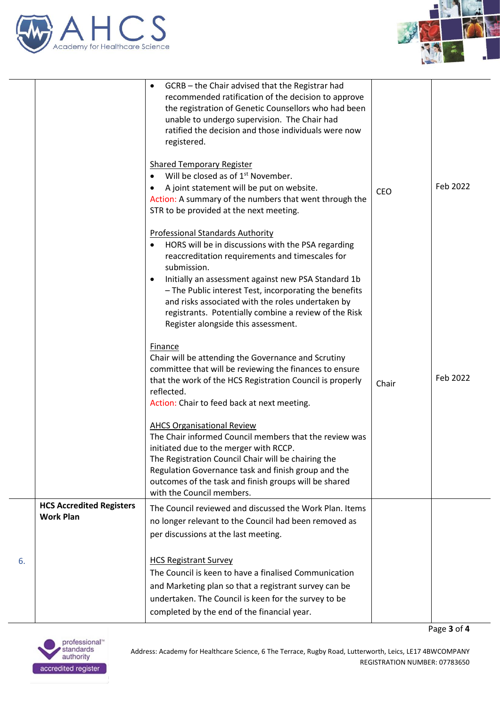



|    |                                                     | GCRB - the Chair advised that the Registrar had<br>$\bullet$<br>recommended ratification of the decision to approve<br>the registration of Genetic Counsellors who had been<br>unable to undergo supervision. The Chair had<br>ratified the decision and those individuals were now<br>registered.                                                                                                                                         |            |          |
|----|-----------------------------------------------------|--------------------------------------------------------------------------------------------------------------------------------------------------------------------------------------------------------------------------------------------------------------------------------------------------------------------------------------------------------------------------------------------------------------------------------------------|------------|----------|
|    |                                                     | <b>Shared Temporary Register</b><br>Will be closed as of 1 <sup>st</sup> November.<br>A joint statement will be put on website.<br>٠<br>Action: A summary of the numbers that went through the<br>STR to be provided at the next meeting.                                                                                                                                                                                                  | <b>CEO</b> | Feb 2022 |
|    |                                                     | <b>Professional Standards Authority</b><br>HORS will be in discussions with the PSA regarding<br>reaccreditation requirements and timescales for<br>submission.<br>Initially an assessment against new PSA Standard 1b<br>٠<br>- The Public interest Test, incorporating the benefits<br>and risks associated with the roles undertaken by<br>registrants. Potentially combine a review of the Risk<br>Register alongside this assessment. |            |          |
|    |                                                     | Finance<br>Chair will be attending the Governance and Scrutiny<br>committee that will be reviewing the finances to ensure<br>that the work of the HCS Registration Council is properly<br>reflected.<br>Action: Chair to feed back at next meeting.                                                                                                                                                                                        | Chair      | Feb 2022 |
|    |                                                     | <b>AHCS Organisational Review</b><br>The Chair informed Council members that the review was<br>initiated due to the merger with RCCP.<br>The Registration Council Chair will be chairing the<br>Regulation Governance task and finish group and the<br>outcomes of the task and finish groups will be shared<br>with the Council members.                                                                                                  |            |          |
|    | <b>HCS Accredited Registers</b><br><b>Work Plan</b> | The Council reviewed and discussed the Work Plan. Items<br>no longer relevant to the Council had been removed as<br>per discussions at the last meeting.                                                                                                                                                                                                                                                                                   |            |          |
| 6. |                                                     | <b>HCS Registrant Survey</b><br>The Council is keen to have a finalised Communication<br>and Marketing plan so that a registrant survey can be<br>undertaken. The Council is keen for the survey to be<br>completed by the end of the financial year.                                                                                                                                                                                      |            |          |